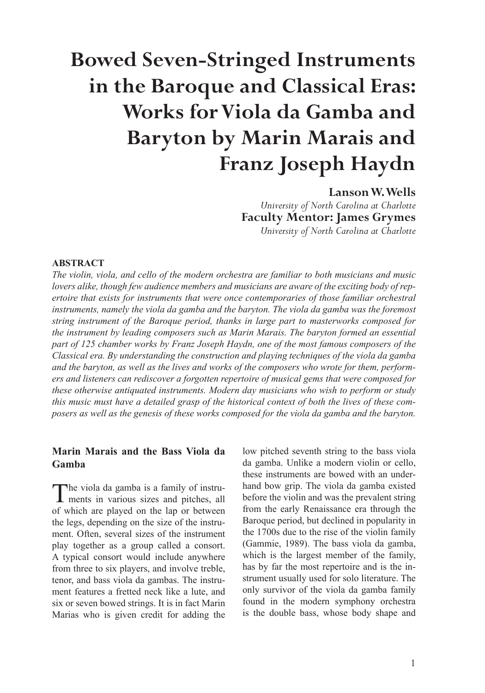# **Bowed Seven-Stringed Instruments in the Baroque and Classical Eras: Works for Viola da Gamba and Baryton by Marin Marais and Franz Joseph Haydn**

# **Lanson W. Wells**

*University of North Carolina at Charlotte* **Faculty Mentor: James Grymes** *University of North Carolina at Charlotte*

#### **ABSTRACT**

*The violin, viola, and cello of the modern orchestra are familiar to both musicians and music lovers alike, though few audience members and musicians are aware of the exciting body of repertoire that exists for instruments that were once contemporaries of those familiar orchestral*  instruments, namely the viola da gamba and the baryton. The viola da gamba was the foremost *string instrument of the Baroque period, thanks in large part to masterworks composed for the instrument by leading composers such as Marin Marais. The baryton formed an essential part of 125 chamber works by Franz Joseph Haydn, one of the most famous composers of the Classical era. By understanding the construction and playing techniques of the viola da gamba and the baryton, as well as the lives and works of the composers who wrote for them, performers and listeners can rediscover a forgotten repertoire of musical gems that were composed for these otherwise antiquated instruments. Modern day musicians who wish to perform or study this music must have a detailed grasp of the historical context of both the lives of these composers as well as the genesis of these works composed for the viola da gamba and the baryton.*

## **Marin Marais and the Bass Viola da Gamba**

The viola da gamba is a family of instru-ments in various sizes and pitches, all of which are played on the lap or between the legs, depending on the size of the instrument. Often, several sizes of the instrument play together as a group called a consort. A typical consort would include anywhere from three to six players, and involve treble, tenor, and bass viola da gambas. The instrument features a fretted neck like a lute, and six or seven bowed strings. It is in fact Marin Marias who is given credit for adding the

low pitched seventh string to the bass viola da gamba. Unlike a modern violin or cello, these instruments are bowed with an underhand bow grip. The viola da gamba existed before the violin and was the prevalent string from the early Renaissance era through the Baroque period, but declined in popularity in the 1700s due to the rise of the violin family (Gammie, 1989). The bass viola da gamba, which is the largest member of the family, has by far the most repertoire and is the instrument usually used for solo literature. The only survivor of the viola da gamba family found in the modern symphony orchestra is the double bass, whose body shape and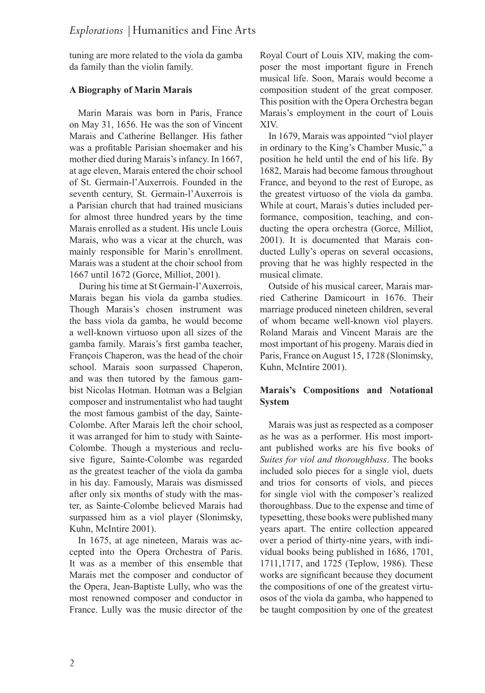tuning are more related to the viola da gamba da family than the violin family.

## **A Biography of Marin Marais**

Marin Marais was born in Paris, France on May 31, 1656. He was the son of Vincent Marais and Catherine Bellanger. His father was a profitable Parisian shoemaker and his mother died during Marais's infancy. In 1667, at age eleven, Marais entered the choir school of St. Germain-l'Auxerrois. Founded in the seventh century, St. Germain-l'Auxerrois is a Parisian church that had trained musicians for almost three hundred years by the time Marais enrolled as a student. His uncle Louis Marais, who was a vicar at the church, was mainly responsible for Marin's enrollment. Marais was a student at the choir school from 1667 until 1672 (Gorce, Milliot, 2001).

 During his time at St Germain-l'Auxerrois, Marais began his viola da gamba studies. Though Marais's chosen instrument was the bass viola da gamba, he would become a well-known virtuoso upon all sizes of the gamba family. Marais's first gamba teacher, François Chaperon, was the head of the choir school. Marais soon surpassed Chaperon, and was then tutored by the famous gambist Nicolas Hotman. Hotman was a Belgian composer and instrumentalist who had taught the most famous gambist of the day, Sainte-Colombe. After Marais left the choir school, it was arranged for him to study with Sainte-Colombe. Though a mysterious and reclusive figure, Sainte-Colombe was regarded as the greatest teacher of the viola da gamba in his day. Famously, Marais was dismissed after only six months of study with the master, as Sainte-Colombe believed Marais had surpassed him as a viol player (Slonimsky, Kuhn, McIntire 2001).

In 1675, at age nineteen, Marais was accepted into the Opera Orchestra of Paris. It was as a member of this ensemble that Marais met the composer and conductor of the Opera, Jean-Baptiste Lully, who was the most renowned composer and conductor in France. Lully was the music director of the

Royal Court of Louis XIV, making the composer the most important figure in French musical life. Soon, Marais would become a composition student of the great composer. This position with the Opera Orchestra began Marais's employment in the court of Louis XIV.

In 1679, Marais was appointed "viol player in ordinary to the King's Chamber Music," a position he held until the end of his life. By 1682, Marais had become famous throughout France, and beyond to the rest of Europe, as the greatest virtuoso of the viola da gamba. While at court, Marais's duties included performance, composition, teaching, and conducting the opera orchestra (Gorce, Milliot, 2001). It is documented that Marais conducted Lully's operas on several occasions, proving that he was highly respected in the musical climate.

Outside of his musical career, Marais married Catherine Damicourt in 1676. Their marriage produced nineteen children, several of whom became well-known viol players. Roland Marais and Vincent Marais are the most important of his progeny. Marais died in Paris, France on August 15, 1728 (Slonimsky, Kuhn, McIntire 2001).

# **Marais's Compositions and Notational System**

Marais was just as respected as a composer as he was as a performer. His most important published works are his five books of *Suites for viol and thoroughbass*. The books included solo pieces for a single viol, duets and trios for consorts of viols, and pieces for single viol with the composer's realized thoroughbass. Due to the expense and time of typesetting, these books were published many years apart. The entire collection appeared over a period of thirty-nine years, with individual books being published in 1686, 1701, 1711,1717, and 1725 (Teplow, 1986). These works are significant because they document the compositions of one of the greatest virtuosos of the viola da gamba, who happened to be taught composition by one of the greatest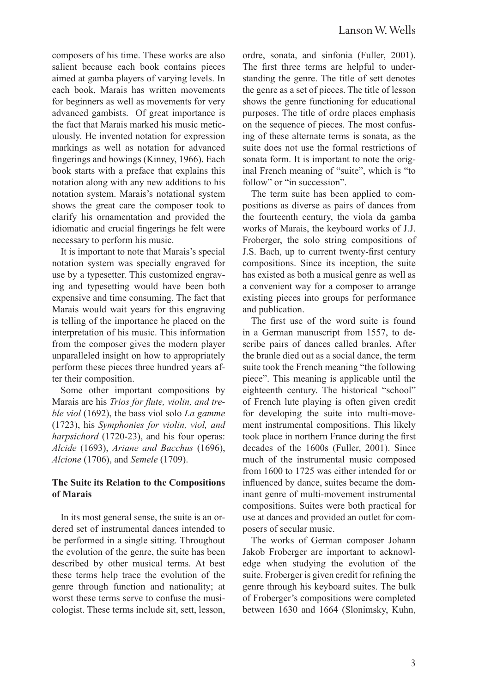composers of his time. These works are also salient because each book contains pieces aimed at gamba players of varying levels. In each book, Marais has written movements for beginners as well as movements for very advanced gambists. Of great importance is the fact that Marais marked his music meticulously. He invented notation for expression markings as well as notation for advanced fingerings and bowings (Kinney, 1966). Each book starts with a preface that explains this notation along with any new additions to his notation system. Marais's notational system shows the great care the composer took to clarify his ornamentation and provided the idiomatic and crucial fingerings he felt were necessary to perform his music.

It is important to note that Marais's special notation system was specially engraved for use by a typesetter. This customized engraving and typesetting would have been both expensive and time consuming. The fact that Marais would wait years for this engraving is telling of the importance he placed on the interpretation of his music. This information from the composer gives the modern player unparalleled insight on how to appropriately perform these pieces three hundred years after their composition.

Some other important compositions by Marais are his *Trios for flute, violin, and treble viol* (1692), the bass viol solo *La gamme*  (1723), his *Symphonies for violin, viol, and harpsichord* (1720-23), and his four operas: *Alcide* (1693), *Ariane and Bacchus* (1696), *Alcione* (1706), and *Semele* (1709).

#### **The Suite its Relation to the Compositions of Marais**

In its most general sense, the suite is an ordered set of instrumental dances intended to be performed in a single sitting. Throughout the evolution of the genre, the suite has been described by other musical terms. At best these terms help trace the evolution of the genre through function and nationality; at worst these terms serve to confuse the musicologist. These terms include sit, sett, lesson, ordre, sonata, and sinfonia (Fuller, 2001). The first three terms are helpful to understanding the genre. The title of sett denotes the genre as a set of pieces. The title of lesson shows the genre functioning for educational purposes. The title of ordre places emphasis on the sequence of pieces. The most confusing of these alternate terms is sonata, as the suite does not use the formal restrictions of sonata form. It is important to note the original French meaning of "suite", which is "to follow" or "in succession".

The term suite has been applied to compositions as diverse as pairs of dances from the fourteenth century, the viola da gamba works of Marais, the keyboard works of J.J. Froberger, the solo string compositions of J.S. Bach, up to current twenty-first century compositions. Since its inception, the suite has existed as both a musical genre as well as a convenient way for a composer to arrange existing pieces into groups for performance and publication.

The first use of the word suite is found in a German manuscript from 1557, to describe pairs of dances called branles. After the branle died out as a social dance, the term suite took the French meaning "the following piece". This meaning is applicable until the eighteenth century. The historical "school" of French lute playing is often given credit for developing the suite into multi-movement instrumental compositions. This likely took place in northern France during the first decades of the 1600s (Fuller, 2001). Since much of the instrumental music composed from 1600 to 1725 was either intended for or influenced by dance, suites became the dominant genre of multi-movement instrumental compositions. Suites were both practical for use at dances and provided an outlet for composers of secular music.

The works of German composer Johann Jakob Froberger are important to acknowledge when studying the evolution of the suite. Froberger is given credit for refining the genre through his keyboard suites. The bulk of Froberger's compositions were completed between 1630 and 1664 (Slonimsky, Kuhn,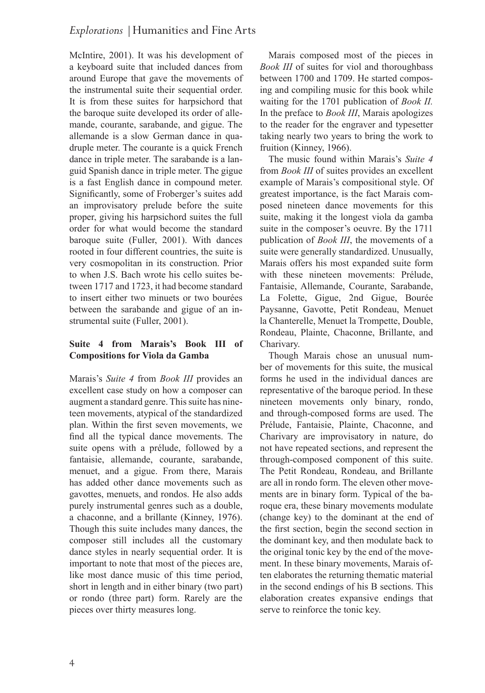McIntire, 2001). It was his development of a keyboard suite that included dances from around Europe that gave the movements of the instrumental suite their sequential order. It is from these suites for harpsichord that the baroque suite developed its order of allemande, courante, sarabande, and gigue. The allemande is a slow German dance in quadruple meter. The courante is a quick French dance in triple meter. The sarabande is a languid Spanish dance in triple meter. The gigue is a fast English dance in compound meter. Significantly, some of Froberger's suites add an improvisatory prelude before the suite proper, giving his harpsichord suites the full order for what would become the standard baroque suite (Fuller, 2001). With dances rooted in four different countries, the suite is very cosmopolitan in its construction. Prior to when J.S. Bach wrote his cello suites between 1717 and 1723, it had become standard to insert either two minuets or two bourées between the sarabande and gigue of an instrumental suite (Fuller, 2001).

# **Suite 4 from Marais's Book III of Compositions for Viola da Gamba**

Marais's *Suite 4* from *Book III* provides an excellent case study on how a composer can augment a standard genre. This suite has nineteen movements, atypical of the standardized plan. Within the first seven movements, we find all the typical dance movements. The suite opens with a prélude, followed by a fantaisie, allemande, courante, sarabande, menuet, and a gigue. From there, Marais has added other dance movements such as gavottes, menuets, and rondos. He also adds purely instrumental genres such as a double, a chaconne, and a brillante (Kinney, 1976). Though this suite includes many dances, the composer still includes all the customary dance styles in nearly sequential order. It is important to note that most of the pieces are, like most dance music of this time period, short in length and in either binary (two part) or rondo (three part) form. Rarely are the pieces over thirty measures long.

Marais composed most of the pieces in *Book III* of suites for viol and thoroughbass between 1700 and 1709. He started composing and compiling music for this book while waiting for the 1701 publication of *Book II.*  In the preface to *Book III*, Marais apologizes to the reader for the engraver and typesetter taking nearly two years to bring the work to fruition (Kinney, 1966).

The music found within Marais's *Suite 4*  from *Book III* of suites provides an excellent example of Marais's compositional style. Of greatest importance, is the fact Marais composed nineteen dance movements for this suite, making it the longest viola da gamba suite in the composer's oeuvre. By the 1711 publication of *Book III*, the movements of a suite were generally standardized. Unusually, Marais offers his most expanded suite form with these nineteen movements: Prélude, Fantaisie, Allemande, Courante, Sarabande, La Folette, Gigue, 2nd Gigue, Bourée Paysanne, Gavotte, Petit Rondeau, Menuet la Chanterelle, Menuet la Trompette, Double, Rondeau, Plainte, Chaconne, Brillante, and Charivary.

Though Marais chose an unusual number of movements for this suite, the musical forms he used in the individual dances are representative of the baroque period. In these nineteen movements only binary, rondo, and through-composed forms are used. The Prélude, Fantaisie, Plainte, Chaconne, and Charivary are improvisatory in nature, do not have repeated sections, and represent the through-composed component of this suite. The Petit Rondeau, Rondeau, and Brillante are all in rondo form. The eleven other movements are in binary form. Typical of the baroque era, these binary movements modulate (change key) to the dominant at the end of the first section, begin the second section in the dominant key, and then modulate back to the original tonic key by the end of the movement. In these binary movements, Marais often elaborates the returning thematic material in the second endings of his B sections. This elaboration creates expansive endings that serve to reinforce the tonic key.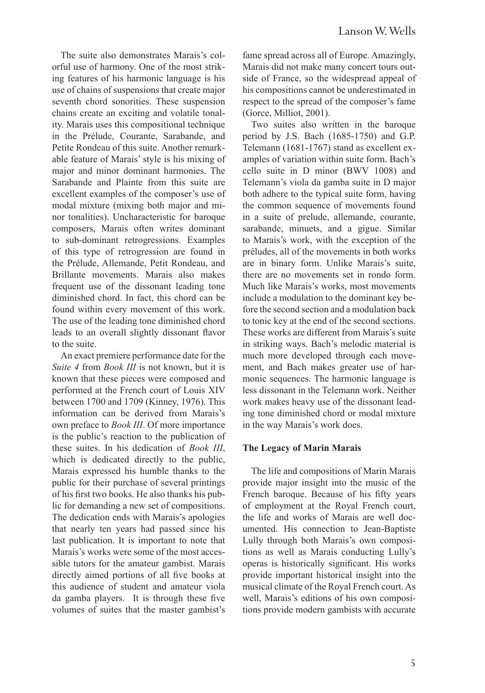The suite also demonstrates Marais's colorful use of harmony. One of the most striking features of his harmonic language is his use of chains of suspensions that create major seventh chord sonorities. These suspension chains create an exciting and volatile tonality. Marais uses this compositional technique in the Prélude, Courante, Sarabande, and Petite Rondeau of this suite. Another remarkable feature of Marais' style is his mixing of major and minor dominant harmonies. The Sarabande and Plainte from this suite are excellent examples of the composer's use of modal mixture (mixing both major and minor tonalities). Uncharacteristic for baroque composers, Marais often writes dominant to sub-dominant retrogressions. Examples of this type of retrogression are found in the Prélude, Allemande, Petit Rondeau, and Brillante movements. Marais also makes frequent use of the dissonant leading tone diminished chord. In fact, this chord can be found within every movement of this work. The use of the leading tone diminished chord leads to an overall slightly dissonant flavor to the suite.

An exact premiere performance date for the *Suite 4* from *Book III* is not known, but it is known that these pieces were composed and performed at the French court of Louis XIV between 1700 and 1709 (Kinney, 1976). This information can be derived from Marais's own preface to *Book III*. Of more importance is the public's reaction to the publication of these suites. In his dedication of *Book III*, which is dedicated directly to the public, Marais expressed his humble thanks to the public for their purchase of several printings of his first two books. He also thanks his public for demanding a new set of compositions. The dedication ends with Marais's apologies that nearly ten years had passed since his last publication. It is important to note that Marais's works were some of the most accessible tutors for the amateur gambist. Marais directly aimed portions of all five books at this audience of student and amateur viola da gamba players. It is through these five volumes of suites that the master gambist's fame spread across all of Europe. Amazingly, Marais did not make many concert tours outside of France, so the widespread appeal of his compositions cannot be underestimated in respect to the spread of the composer's fame (Gorce, Milliot, 2001).

Two suites also written in the baroque period by J.S. Bach (1685-1750) and G.P. Telemann (1681-1767) stand as excellent examples of variation within suite form. Bach's cello suite in D minor (BWV 1008) and Telemann's viola da gamba suite in D major both adhere to the typical suite form, having the common sequence of movements found in a suite of prelude, allemande, courante, sarabande, minuets, and a gigue. Similar to Marais's work, with the exception of the préludes, all of the movements in both works are in binary form. Unlike Marais's suite, there are no movements set in rondo form. Much like Marais's works, most movements include a modulation to the dominant key before the second section and a modulation back to tonic key at the end of the second sections. These works are different from Marais's suite in striking ways. Bach's melodic material is much more developed through each movement, and Bach makes greater use of harmonic sequences. The harmonic language is less dissonant in the Telemann work. Neither work makes heavy use of the dissonant leading tone diminished chord or modal mixture in the way Marais's work does.

#### **The Legacy of Marin Marais**

The life and compositions of Marin Marais provide major insight into the music of the French baroque. Because of his fifty years of employment at the Royal French court, the life and works of Marais are well documented. His connection to Jean-Baptiste Lully through both Marais's own compositions as well as Marais conducting Lully's operas is historically significant. His works provide important historical insight into the musical climate of the Royal French court. As well, Marais's editions of his own compositions provide modern gambists with accurate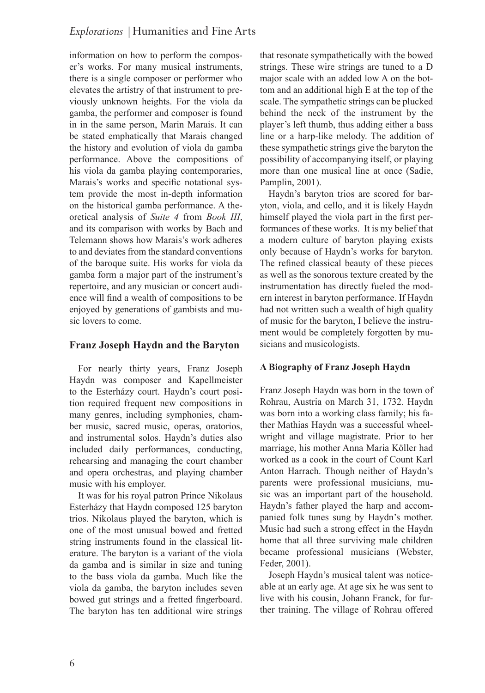information on how to perform the composer's works. For many musical instruments, there is a single composer or performer who elevates the artistry of that instrument to previously unknown heights. For the viola da gamba, the performer and composer is found in in the same person, Marin Marais. It can be stated emphatically that Marais changed the history and evolution of viola da gamba performance. Above the compositions of his viola da gamba playing contemporaries, Marais's works and specific notational system provide the most in-depth information on the historical gamba performance. A theoretical analysis of *Suite 4* from *Book III*, and its comparison with works by Bach and Telemann shows how Marais's work adheres to and deviates from the standard conventions of the baroque suite. His works for viola da gamba form a major part of the instrument's repertoire, and any musician or concert audience will find a wealth of compositions to be enjoyed by generations of gambists and music lovers to come.

# **Franz Joseph Haydn and the Baryton**

For nearly thirty years, Franz Joseph Haydn was composer and Kapellmeister to the Esterházy court. Haydn's court position required frequent new compositions in many genres, including symphonies, chamber music, sacred music, operas, oratorios, and instrumental solos. Haydn's duties also included daily performances, conducting, rehearsing and managing the court chamber and opera orchestras, and playing chamber music with his employer.

It was for his royal patron Prince Nikolaus Esterházy that Haydn composed 125 baryton trios. Nikolaus played the baryton, which is one of the most unusual bowed and fretted string instruments found in the classical literature. The baryton is a variant of the viola da gamba and is similar in size and tuning to the bass viola da gamba. Much like the viola da gamba, the baryton includes seven bowed gut strings and a fretted fingerboard. The baryton has ten additional wire strings

that resonate sympathetically with the bowed strings. These wire strings are tuned to a D major scale with an added low A on the bottom and an additional high E at the top of the scale. The sympathetic strings can be plucked behind the neck of the instrument by the player's left thumb, thus adding either a bass line or a harp-like melody. The addition of these sympathetic strings give the baryton the possibility of accompanying itself, or playing more than one musical line at once (Sadie, Pamplin, 2001).

Haydn's baryton trios are scored for baryton, viola, and cello, and it is likely Haydn himself played the viola part in the first performances of these works. It is my belief that a modern culture of baryton playing exists only because of Haydn's works for baryton. The refined classical beauty of these pieces as well as the sonorous texture created by the instrumentation has directly fueled the modern interest in baryton performance. If Haydn had not written such a wealth of high quality of music for the baryton, I believe the instrument would be completely forgotten by musicians and musicologists.

## **A Biography of Franz Joseph Haydn**

Franz Joseph Haydn was born in the town of Rohrau, Austria on March 31, 1732. Haydn was born into a working class family; his father Mathias Haydn was a successful wheelwright and village magistrate. Prior to her marriage, his mother Anna Maria Köller had worked as a cook in the court of Count Karl Anton Harrach. Though neither of Haydn's parents were professional musicians, music was an important part of the household. Haydn's father played the harp and accompanied folk tunes sung by Haydn's mother. Music had such a strong effect in the Haydn home that all three surviving male children became professional musicians (Webster, Feder, 2001).

Joseph Haydn's musical talent was noticeable at an early age. At age six he was sent to live with his cousin, Johann Franck, for further training. The village of Rohrau offered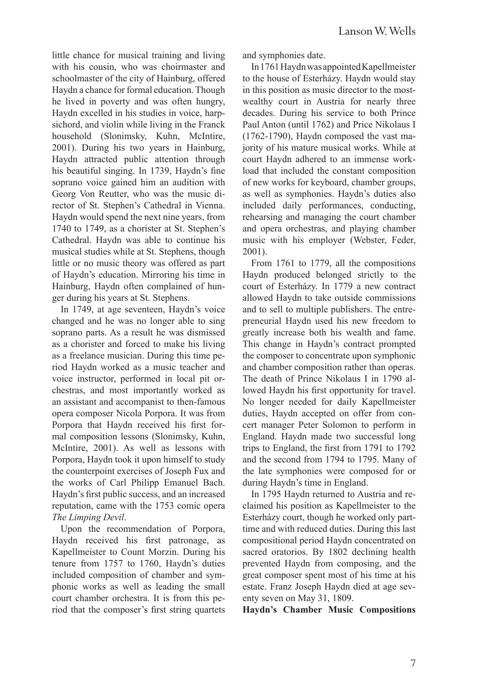little chance for musical training and living with his cousin, who was choirmaster and schoolmaster of the city of Hainburg, offered Haydn a chance for formal education. Though he lived in poverty and was often hungry, Haydn excelled in his studies in voice, harpsichord, and violin while living in the Franck household (Slonimsky, Kuhn, McIntire, 2001). During his two years in Hainburg, Haydn attracted public attention through his beautiful singing. In 1739, Haydn's fine soprano voice gained him an audition with Georg Von Reutter, who was the music director of St. Stephen's Cathedral in Vienna. Haydn would spend the next nine years, from 1740 to 1749, as a chorister at St. Stephen's Cathedral. Haydn was able to continue his musical studies while at St. Stephens, though little or no music theory was offered as part of Haydn's education. Mirroring his time in Hainburg, Haydn often complained of hunger during his years at St. Stephens.

In 1749, at age seventeen, Haydn's voice changed and he was no longer able to sing soprano parts. As a result he was dismissed as a chorister and forced to make his living as a freelance musician. During this time period Haydn worked as a music teacher and voice instructor, performed in local pit orchestras, and most importantly worked as an assistant and accompanist to then-famous opera composer Nicola Porpora. It was from Porpora that Haydn received his first formal composition lessons (Slonimsky, Kuhn, McIntire, 2001). As well as lessons with Porpora, Haydn took it upon himself to study the counterpoint exercises of Joseph Fux and the works of Carl Philipp Emanuel Bach. Haydn's first public success, and an increased reputation, came with the 1753 comic opera *The Limping Devil*.

Upon the recommendation of Porpora, Haydn received his first patronage, as Kapellmeister to Count Morzin. During his tenure from 1757 to 1760, Haydn's duties included composition of chamber and symphonic works as well as leading the small court chamber orchestra. It is from this period that the composer's first string quartets and symphonies date.

In 1761 Haydn was appointed Kapellmeister to the house of Esterházy. Haydn would stay in this position as music director to the mostwealthy court in Austria for nearly three decades. During his service to both Prince Paul Anton (until 1762) and Price Nikolaus I (1762-1790), Haydn composed the vast majority of his mature musical works. While at court Haydn adhered to an immense workload that included the constant composition of new works for keyboard, chamber groups, as well as symphonies. Haydn's duties also included daily performances, conducting, rehearsing and managing the court chamber and opera orchestras, and playing chamber music with his employer (Webster, Feder, 2001).

From 1761 to 1779, all the compositions Haydn produced belonged strictly to the court of Esterházy. In 1779 a new contract allowed Haydn to take outside commissions and to sell to multiple publishers. The entrepreneurial Haydn used his new freedom to greatly increase both his wealth and fame. This change in Haydn's contract prompted the composer to concentrate upon symphonic and chamber composition rather than operas. The death of Prince Nikolaus I in 1790 allowed Haydn his first opportunity for travel. No longer needed for daily Kapellmeister duties, Haydn accepted on offer from concert manager Peter Solomon to perform in England. Haydn made two successful long trips to England, the first from 1791 to 1792 and the second from 1794 to 1795. Many of the late symphonies were composed for or during Haydn's time in England.

In 1795 Haydn returned to Austria and reclaimed his position as Kapellmeister to the Esterházy court, though he worked only parttime and with reduced duties. During this last compositional period Haydn concentrated on sacred oratorios. By 1802 declining health prevented Haydn from composing, and the great composer spent most of his time at his estate. Franz Joseph Haydn died at age seventy seven on May 31, 1809.

**Haydn's Chamber Music Compositions**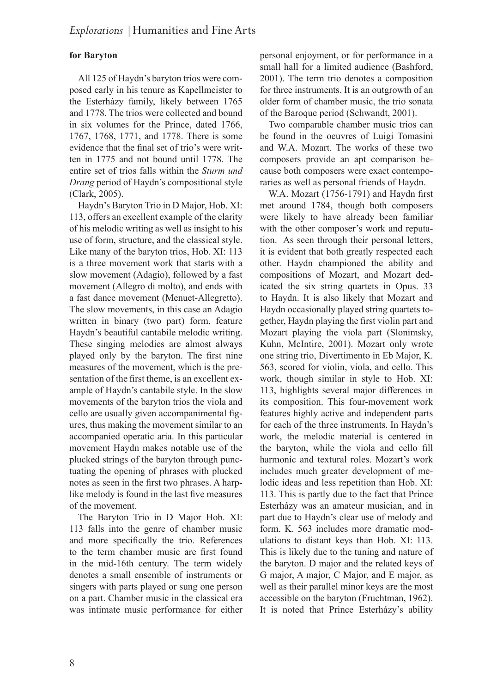## **for Baryton**

All 125 of Haydn's baryton trios were composed early in his tenure as Kapellmeister to the Esterházy family, likely between 1765 and 1778. The trios were collected and bound in six volumes for the Prince, dated 1766, 1767, 1768, 1771, and 1778. There is some evidence that the final set of trio's were written in 1775 and not bound until 1778. The entire set of trios falls within the *Sturm und Drang* period of Haydn's compositional style (Clark, 2005).

Haydn's Baryton Trio in D Major, Hob. XI: 113, offers an excellent example of the clarity of his melodic writing as well as insight to his use of form, structure, and the classical style. Like many of the baryton trios, Hob. XI: 113 is a three movement work that starts with a slow movement (Adagio), followed by a fast movement (Allegro di molto), and ends with a fast dance movement (Menuet-Allegretto). The slow movements, in this case an Adagio written in binary (two part) form, feature Haydn's beautiful cantabile melodic writing. These singing melodies are almost always played only by the baryton. The first nine measures of the movement, which is the presentation of the first theme, is an excellent example of Haydn's cantabile style. In the slow movements of the baryton trios the viola and cello are usually given accompanimental figures, thus making the movement similar to an accompanied operatic aria. In this particular movement Haydn makes notable use of the plucked strings of the baryton through punctuating the opening of phrases with plucked notes as seen in the first two phrases. A harplike melody is found in the last five measures of the movement.

The Baryton Trio in D Major Hob. XI: 113 falls into the genre of chamber music and more specifically the trio. References to the term chamber music are first found in the mid-16th century. The term widely denotes a small ensemble of instruments or singers with parts played or sung one person on a part. Chamber music in the classical era was intimate music performance for either personal enjoyment, or for performance in a small hall for a limited audience (Bashford, 2001). The term trio denotes a composition for three instruments. It is an outgrowth of an older form of chamber music, the trio sonata of the Baroque period (Schwandt, 2001).

Two comparable chamber music trios can be found in the oeuvres of Luigi Tomasini and W.A. Mozart. The works of these two composers provide an apt comparison because both composers were exact contemporaries as well as personal friends of Haydn.

W.A. Mozart (1756-1791) and Haydn first met around 1784, though both composers were likely to have already been familiar with the other composer's work and reputation. As seen through their personal letters, it is evident that both greatly respected each other. Haydn championed the ability and compositions of Mozart, and Mozart dedicated the six string quartets in Opus. 33 to Haydn. It is also likely that Mozart and Haydn occasionally played string quartets together, Haydn playing the first violin part and Mozart playing the viola part (Slonimsky, Kuhn, McIntire, 2001). Mozart only wrote one string trio, Divertimento in Eb Major, K. 563, scored for violin, viola, and cello. This work, though similar in style to Hob. XI: 113, highlights several major differences in its composition. This four-movement work features highly active and independent parts for each of the three instruments. In Haydn's work, the melodic material is centered in the baryton, while the viola and cello fill harmonic and textural roles. Mozart's work includes much greater development of melodic ideas and less repetition than Hob. XI: 113. This is partly due to the fact that Prince Esterházy was an amateur musician, and in part due to Haydn's clear use of melody and form. K. 563 includes more dramatic modulations to distant keys than Hob. XI: 113. This is likely due to the tuning and nature of the baryton. D major and the related keys of G major, A major, C Major, and E major, as well as their parallel minor keys are the most accessible on the baryton (Fruchtman, 1962). It is noted that Prince Esterházy's ability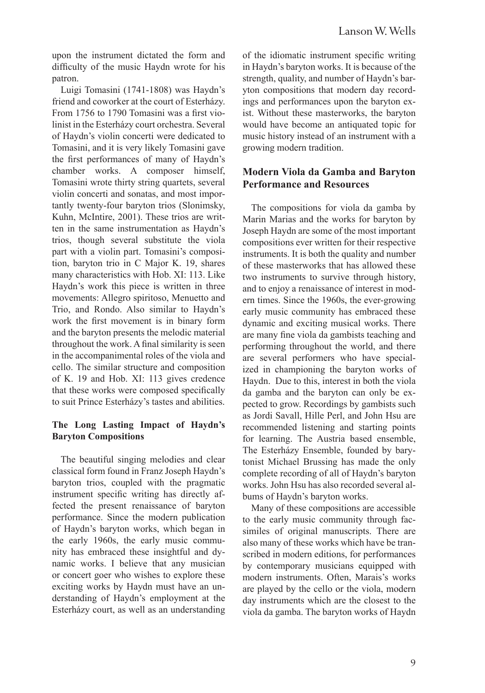upon the instrument dictated the form and difficulty of the music Haydn wrote for his patron.

Luigi Tomasini (1741-1808) was Haydn's friend and coworker at the court of Esterházy. From 1756 to 1790 Tomasini was a first violinist in the Esterházy court orchestra. Several of Haydn's violin concerti were dedicated to Tomasini, and it is very likely Tomasini gave the first performances of many of Haydn's chamber works. A composer himself, Tomasini wrote thirty string quartets, several violin concerti and sonatas, and most importantly twenty-four baryton trios (Slonimsky, Kuhn, McIntire, 2001). These trios are written in the same instrumentation as Haydn's trios, though several substitute the viola part with a violin part. Tomasini's composition, baryton trio in C Major K. 19, shares many characteristics with Hob. XI: 113. Like Haydn's work this piece is written in three movements: Allegro spiritoso, Menuetto and Trio, and Rondo. Also similar to Haydn's work the first movement is in binary form and the baryton presents the melodic material throughout the work. A final similarity is seen in the accompanimental roles of the viola and cello. The similar structure and composition of K. 19 and Hob. XI: 113 gives credence that these works were composed specifically to suit Prince Esterházy's tastes and abilities.

## **The Long Lasting Impact of Haydn's Baryton Compositions**

The beautiful singing melodies and clear classical form found in Franz Joseph Haydn's baryton trios, coupled with the pragmatic instrument specific writing has directly affected the present renaissance of baryton performance. Since the modern publication of Haydn's baryton works, which began in the early 1960s, the early music community has embraced these insightful and dynamic works. I believe that any musician or concert goer who wishes to explore these exciting works by Haydn must have an understanding of Haydn's employment at the Esterházy court, as well as an understanding

of the idiomatic instrument specific writing in Haydn's baryton works. It is because of the strength, quality, and number of Haydn's baryton compositions that modern day recordings and performances upon the baryton exist. Without these masterworks, the baryton would have become an antiquated topic for music history instead of an instrument with a growing modern tradition.

# **Modern Viola da Gamba and Baryton Performance and Resources**

The compositions for viola da gamba by Marin Marias and the works for baryton by Joseph Haydn are some of the most important compositions ever written for their respective instruments. It is both the quality and number of these masterworks that has allowed these two instruments to survive through history, and to enjoy a renaissance of interest in modern times. Since the 1960s, the ever-growing early music community has embraced these dynamic and exciting musical works. There are many fine viola da gambists teaching and performing throughout the world, and there are several performers who have specialized in championing the baryton works of Haydn. Due to this, interest in both the viola da gamba and the baryton can only be expected to grow. Recordings by gambists such as Jordi Savall, Hille Perl, and John Hsu are recommended listening and starting points for learning. The Austria based ensemble, The Esterházy Ensemble, founded by barytonist Michael Brussing has made the only complete recording of all of Haydn's baryton works. John Hsu has also recorded several albums of Haydn's baryton works.

Many of these compositions are accessible to the early music community through facsimiles of original manuscripts. There are also many of these works which have be transcribed in modern editions, for performances by contemporary musicians equipped with modern instruments. Often, Marais's works are played by the cello or the viola, modern day instruments which are the closest to the viola da gamba. The baryton works of Haydn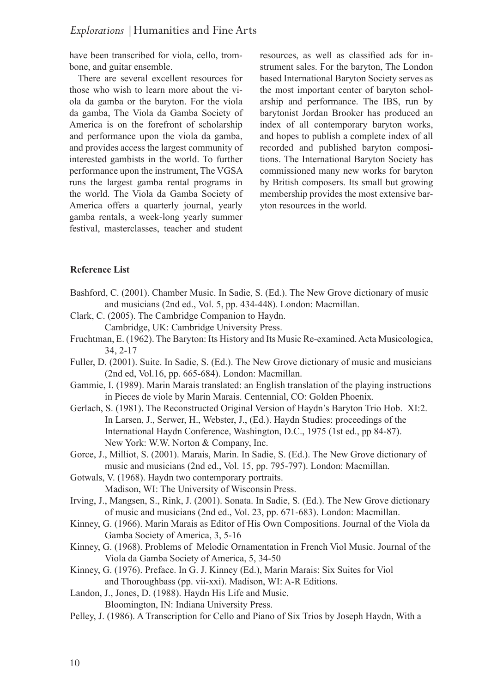have been transcribed for viola, cello, trombone, and guitar ensemble.

There are several excellent resources for those who wish to learn more about the viola da gamba or the baryton. For the viola da gamba, The Viola da Gamba Society of America is on the forefront of scholarship and performance upon the viola da gamba, and provides access the largest community of interested gambists in the world. To further performance upon the instrument, The VGSA runs the largest gamba rental programs in the world. The Viola da Gamba Society of America offers a quarterly journal, yearly gamba rentals, a week-long yearly summer festival, masterclasses, teacher and student

resources, as well as classified ads for instrument sales. For the baryton, The London based International Baryton Society serves as the most important center of baryton scholarship and performance. The IBS, run by barytonist Jordan Brooker has produced an index of all contemporary baryton works, and hopes to publish a complete index of all recorded and published baryton compositions. The International Baryton Society has commissioned many new works for baryton by British composers. Its small but growing membership provides the most extensive baryton resources in the world.

#### **Reference List**

- Bashford, C. (2001). Chamber Music. In Sadie, S. (Ed.). The New Grove dictionary of music and musicians (2nd ed., Vol. 5, pp. 434-448). London: Macmillan.
- Clark, C. (2005). The Cambridge Companion to Haydn. Cambridge, UK: Cambridge University Press.
- Fruchtman, E. (1962). The Baryton: Its History and Its Music Re-examined. Acta Musicologica, 34, 2-17
- Fuller, D. (2001). Suite. In Sadie, S. (Ed.). The New Grove dictionary of music and musicians (2nd ed, Vol.16, pp. 665-684). London: Macmillan.
- Gammie, I. (1989). Marin Marais translated: an English translation of the playing instructions in Pieces de viole by Marin Marais. Centennial, CO: Golden Phoenix.
- Gerlach, S. (1981). The Reconstructed Original Version of Haydn's Baryton Trio Hob. XI:2. In Larsen, J., Serwer, H., Webster, J., (Ed.). Haydn Studies: proceedings of the International Haydn Conference, Washington, D.C., 1975 (1st ed., pp 84-87). New York: W.W. Norton & Company, Inc.
- Gorce, J., Milliot, S. (2001). Marais, Marin. In Sadie, S. (Ed.). The New Grove dictionary of music and musicians (2nd ed., Vol. 15, pp. 795-797). London: Macmillan.
- Gotwals, V. (1968). Haydn two contemporary portraits. Madison, WI: The University of Wisconsin Press.
- Irving, J., Mangsen, S., Rink, J. (2001). Sonata. In Sadie, S. (Ed.). The New Grove dictionary of music and musicians (2nd ed., Vol. 23, pp. 671-683). London: Macmillan.
- Kinney, G. (1966). Marin Marais as Editor of His Own Compositions. Journal of the Viola da Gamba Society of America, 3, 5-16
- Kinney, G. (1968). Problems of Melodic Ornamentation in French Viol Music. Journal of the Viola da Gamba Society of America, 5, 34-50
- Kinney, G. (1976). Preface. In G. J. Kinney (Ed.), Marin Marais: Six Suites for Viol and Thoroughbass (pp. vii-xxi). Madison, WI: A-R Editions.
- Landon, J., Jones, D. (1988). Haydn His Life and Music. Bloomington, IN: Indiana University Press.
- Pelley, J. (1986). A Transcription for Cello and Piano of Six Trios by Joseph Haydn, With a